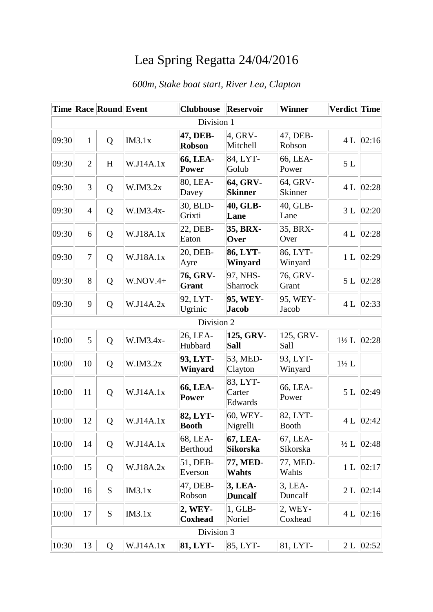## Lea Spring Regatta 24/04/2016

|       |                | Time Race Round Event |            | <b>Clubhouse</b>            | <b>Reservoir</b>              | <b>Winner</b>            | Verdict Time     |               |
|-------|----------------|-----------------------|------------|-----------------------------|-------------------------------|--------------------------|------------------|---------------|
|       |                |                       |            | Division 1                  |                               |                          |                  |               |
| 09:30 | 1              | Q                     | IM3.1x     | 47, DEB-<br><b>Robson</b>   | $4.$ GRV-<br>Mitchell         | 47, DEB-<br>Robson       | 4L               | 02:16         |
| 09:30 | $\overline{2}$ | H                     | W.J14A.1x  | 66, LEA-<br>Power           | 84, LYT-<br>Golub             | 66, LEA-<br>Power        | $5 L$            |               |
| 09:30 | 3              | Q                     | W.IM3.2x   | 80, LEA-<br>Davey           | 64, GRV-<br><b>Skinner</b>    | 64, GRV-<br>Skinner      | 4L               | 02:28         |
| 09:30 | $\overline{4}$ | Q                     | W.IM3.4x-  | 30, BLD-<br>Grixti          | 40, GLB-<br>Lane              | 40, GLB-<br>Lane         | 3L               | 02:20         |
| 09:30 | 6              | Q                     | W.J18A.1x  | 22, DEB-<br>Eaton           | 35, BRX-<br>Over              | 35, BRX-<br>Over         |                  | 4 L $ 02:28$  |
| 09:30 | $\overline{7}$ | Q                     | W.J18A.1x  | 20, DEB-<br>Ayre            | 86, LYT-<br>Winyard           | 86, LYT-<br>Winyard      | 1 <sub>L</sub>   | 02:29         |
| 09:30 | 8              | Q                     | $W.NOV.4+$ | 76, GRV-<br>Grant           | 97, NHS-<br>Sharrock          | 76, GRV-<br>Grant        | 5L               | 02:28         |
| 09:30 | 9              | Q                     | W.J14A.2x  | 92, LYT-<br>Ugrinic         | 95, WEY-<br><b>Jacob</b>      | 95, WEY-<br>Jacob        | 4L               | 02:33         |
|       |                |                       |            | Division 2                  |                               |                          |                  |               |
| 10:00 | 5              | Q                     | W.IM3.4x-  | 26, LEA-<br>Hubbard         | 125, GRV-<br><b>Sall</b>      | 125, GRV-<br>Sall        | $1\frac{1}{2}$ L | 02:28         |
| 10:00 | 10             | Q                     | W.IM3.2x   | 93, LYT-<br>Winyard         | 53, MED-<br>Clayton           | 93, LYT-<br>Winyard      | $1\frac{1}{2}$ L |               |
| 10:00 | 11             | Q                     | W.J14A.1x  | 66, LEA-<br>Power           | 83, LYT-<br>Carter<br>Edwards | 66, LEA-<br>Power        | 5L               | 02:49         |
| 10:00 | 12             | Q                     | W.J14A.1x  | 82, LYT-<br><b>Booth</b>    | 60, WEY-<br>Nigrelli          | 82, LYT-<br><b>Booth</b> |                  | 4 L $ 02:42 $ |
| 10:00 | 14             | Q                     | W.J14A.1x  | 68, LEA-<br><b>Berthoud</b> | 67, LEA-<br><b>Sikorska</b>   | 67, LEA-<br>Sikorska     | $\frac{1}{2}L$   | 02:48         |
| 10:00 | 15             | Q                     | W.J18A.2x  | 51, DEB-<br>Everson         | 77, MED-<br>Wahts             | 77, MED-<br>Wahts        | 1 <sub>L</sub>   | 02:17         |
| 10:00 | 16             | S                     | IM3.1x     | 47, DEB-<br>Robson          | 3, LEA-<br><b>Duncalf</b>     | $3$ , LEA-<br>Duncalf    | 2L               | 02:14         |
| 10:00 | 17             | ${\bf S}$             | IM3.1x     | 2, WEY-<br><b>Coxhead</b>   | 1, GLB-<br>Noriel             | 2, WEY-<br>Coxhead       | 4L               | 02:16         |
|       |                |                       |            | Division 3                  |                               |                          |                  |               |
| 10:30 | 13             | Q                     | W.J14A.1x  | 81, LYT-                    | 85, LYT-                      | 81, LYT-                 |                  | 2 L  02:52    |

## *600m, Stake boat start, River Lea, Clapton*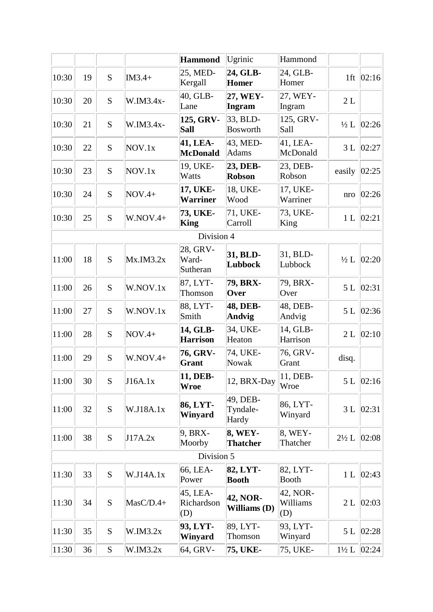|       |    |           |            | Hammond                       | Ugrinic                           | Hammond                     |                  |               |
|-------|----|-----------|------------|-------------------------------|-----------------------------------|-----------------------------|------------------|---------------|
| 10:30 | 19 | S         | $IM3.4+$   | 25, MED-<br>Kergall           | 24, GLB-<br><b>Homer</b>          | 24, GLB-<br>Homer           |                  | 1ft $ 02:16 $ |
| 10:30 | 20 | S         | W.IM3.4x-  | 40, GLB-<br>Lane              | 27, WEY-<br>Ingram                | 27, WEY-<br>Ingram          | 2L               |               |
| 10:30 | 21 | S         | W.IM3.4x-  | 125, GRV-<br>Sall             | 33, BLD-<br><b>Bosworth</b>       | 125, GRV-<br>Sall           | $\frac{1}{2}L$   | 02:26         |
| 10:30 | 22 | S         | NOV.1x     | 41, LEA-<br><b>McDonald</b>   | 43, MED-<br><b>Adams</b>          | 41, LEA-<br>McDonald        | 3L               | 02:27         |
| 10:30 | 23 | S         | NOV.1x     | 19, UKE-<br>Watts             | 23, DEB-<br><b>Robson</b>         | 23, DEB-<br>Robson          | easily           | 02:25         |
| 10:30 | 24 | S         | $NOV.4+$   | 17, UKE-<br><b>Warriner</b>   | 18, UKE-<br>Wood                  | 17, UKE-<br>Warriner        | nro              | 02:26         |
| 10:30 | 25 | S         | $W.NOV.4+$ | 73, UKE-<br>King              | 71, UKE-<br>Carroll               | 73, UKE-<br>King            | 1 <sub>L</sub>   | 02:21         |
|       |    |           |            | Division 4                    |                                   |                             |                  |               |
| 11:00 | 18 | S         | Mx.IM3.2x  | 28, GRV-<br>Ward-<br>Sutheran | 31, BLD-<br>Lubbock               | 31, BLD-<br>Lubbock         | $\frac{1}{2}$ L  | 02:20         |
| 11:00 | 26 | S         | W.NOV.1x   | 87, LYT-<br>Thomson           | 79, BRX-<br>Over                  | 79, BRX-<br>Over            | 5L               | 02:31         |
| 11:00 | 27 | S         | W.NOV.1x   | 88, LYT-<br>Smith             | 48, DEB-<br><b>Andvig</b>         | 48, DEB-<br>Andvig          | 5L               | 02:36         |
| 11:00 | 28 | S         | $NOV.4+$   | 14, GLB-<br><b>Harrison</b>   | 34, UKE-<br>Heaton                | 14, GLB-<br>Harrison        | 2L               | 02:10         |
| 11:00 | 29 | S         | $W.NOV.4+$ | 76, GRV-<br><b>Grant</b>      | 74, UKE-<br>Nowak                 | 76, GRV-<br>Grant           | disq.            |               |
| 11:00 | 30 | S         | J16A.1x    | 11, DEB-<br><b>Wroe</b>       | 12, BRX-Day                       | 11, DEB-<br>Wroe            |                  | 5 L $ 02:16 $ |
| 11:00 | 32 | S         | W.J18A.1x  | 86, LYT-<br>Winyard           | 49, DEB-<br>Tyndale-<br>Hardy     | 86, LYT-<br>Winyard         | 3L               | 02:31         |
| 11:00 | 38 | ${\bf S}$ | J17A.2x    | 9, BRX-<br>Moorby             | <b>8, WEY-</b><br><b>Thatcher</b> | 8, WEY-<br>Thatcher         | $2\frac{1}{2} L$ | 02:08         |
|       |    |           |            | Division 5                    |                                   |                             |                  |               |
| 11:30 | 33 | S         | W.J14A.1x  | 66, LEA-<br>Power             | 82, LYT-<br><b>Booth</b>          | 82, LYT-<br><b>Booth</b>    | 1 <sub>L</sub>   | 02:43         |
| 11:30 | 34 | S         | MasC/D.4+  | 45, LEA-<br>Richardson<br>(D) | 42, NOR-<br>Williams (D)          | 42, NOR-<br>Williams<br>(D) | 2L               | 02:03         |
| 11:30 | 35 | S         | W.IM3.2x   | 93, LYT-<br>Winyard           | 89, LYT-<br>Thomson               | 93, LYT-<br>Winyard         | 5L               | 02:28         |
| 11:30 | 36 | ${\bf S}$ | W.IM3.2x   | 64, GRV-                      | 75, UKE-                          | 75, UKE-                    | $1\frac{1}{2}L$  | 02:24         |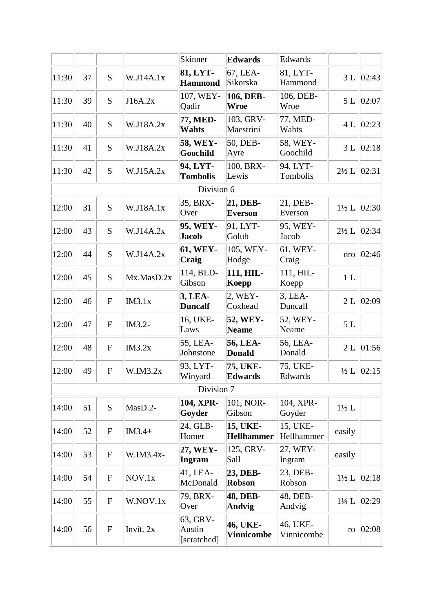|       |    |                |            | Skinner                           | <b>Edwards</b>                | Edwards                |                  |                           |
|-------|----|----------------|------------|-----------------------------------|-------------------------------|------------------------|------------------|---------------------------|
| 11:30 | 37 | S              | W.J14A.1x  | 81, LYT-<br><b>Hammond</b>        | 67, LEA-<br>Sikorska          | 81, LYT-<br>Hammond    |                  | 3 L   02:43               |
| 11:30 | 39 | S              | J16A.2x    | 107, WEY-<br>Qadir                | 106, DEB-<br>Wroe             | 106, DEB-<br>Wroe      |                  | 5 L 02:07                 |
| 11:30 | 40 | S              | W.J18A.2x  | 77, MED-<br>Wahts                 | 103, GRV-<br>Maestrini        | 77, MED-<br>Wahts      | 4L               | 02:23                     |
| 11:30 | 41 | S              | W.J18A.2x  | 58, WEY-<br><b>Goochild</b>       | 50, DEB-<br>Ayre              | 58, WEY-<br>Goochild   | 3L               | 02:18                     |
| 11:30 | 42 | S              | W.J15A.2x  | 94, LYT-<br><b>Tombolis</b>       | 100, BRX-<br>Lewis            | 94, LYT-<br>Tombolis   | $2\frac{1}{2}$ L | 02:31                     |
|       |    |                |            | Division 6                        |                               |                        |                  |                           |
| 12:00 | 31 | S              | W.J18A.1x  | 35, BRX-<br>Over                  | 21, DEB-<br><b>Everson</b>    | 21, DEB-<br>Everson    | $1\frac{1}{2}L$  | 02:30                     |
| 12:00 | 43 | S              | W.J14A.2x  | 95, WEY-<br><b>Jacob</b>          | 91, LYT-<br>Golub             | 95, WEY-<br>Jacob      | $2\frac{1}{2}$ L | 02:34                     |
| 12:00 | 44 | S              | W.J14A.2x  | 61, WEY-<br>Craig                 | 105, WEY-<br>Hodge            | 61, WEY-<br>Craig      | nro              | 02:46                     |
| 12:00 | 45 | S              | Mx.MasD.2x | 114, BLD-<br>Gibson               | 111, HIL-<br>Koepp            | 111, HIL-<br>Koepp     | 1L               |                           |
| 12:00 | 46 | $\overline{F}$ | IM3.1x     | 3, LEA-<br><b>Duncalf</b>         | 2, WEY-<br>Coxhead            | $3,LEA-$<br>Duncalf    | 2L               | 02:09                     |
| 12:00 | 47 | ${\bf F}$      | IM3.2-     | 16, UKE-<br>Laws                  | 52, WEY-<br><b>Neame</b>      | 52, WEY-<br>Neame      | $5 L$            |                           |
| 12:00 | 48 | $\mathbf F$    | IM3.2x     | 55, LEA-<br>Johnstone             | 56, LEA-<br><b>Donald</b>     | 56, LEA-<br>Donald     | 2L               | 01:56                     |
| 12:00 | 49 | $\overline{F}$ | W.IM3.2x   | 93, LYT-<br>Winyard               | 75, UKE-<br><b>Edwards</b>    | 75, UKE-<br>Edwards    |                  | $\frac{1}{2}$ L $ 02:15 $ |
|       |    |                |            | Division 7                        |                               |                        |                  |                           |
| 14:00 | 51 | S              | MasD.2-    | 104, XPR-<br>Goyder               | 101, NOR-<br>Gibson           | 104, XPR-<br>Goyder    | $1\frac{1}{2}$ L |                           |
| 14:00 | 52 | ${\bf F}$      | $IM3.4+$   | 24, GLB-<br>Homer                 | 15, UKE-<br><b>Hellhammer</b> | 15, UKE-<br>Hellhammer | easily           |                           |
| 14:00 | 53 | ${\bf F}$      | W.IM3.4x-  | 27, WEY-<br>Ingram                | 125, GRV-<br>Sall             | 27, WEY-<br>Ingram     | easily           |                           |
| 14:00 | 54 | $\mathbf F$    | NOV.1x     | 41, LEA-<br>McDonald              | 23, DEB-<br><b>Robson</b>     | 23, DEB-<br>Robson     | $1\frac{1}{2}$ L | 02:18                     |
| 14:00 | 55 | ${\bf F}$      | W.NOV.1x   | 79, BRX-<br>Over                  | 48, DEB-<br>Andvig            | 48, DEB-<br>Andvig     | $1\frac{1}{4}$ L | 02:29                     |
| 14:00 | 56 | ${\bf F}$      | Invit. 2x  | 63, GRV-<br>Austin<br>[scratched] | 46, UKE-<br><b>Vinnicombe</b> | 46, UKE-<br>Vinnicombe | ro               | 02:08                     |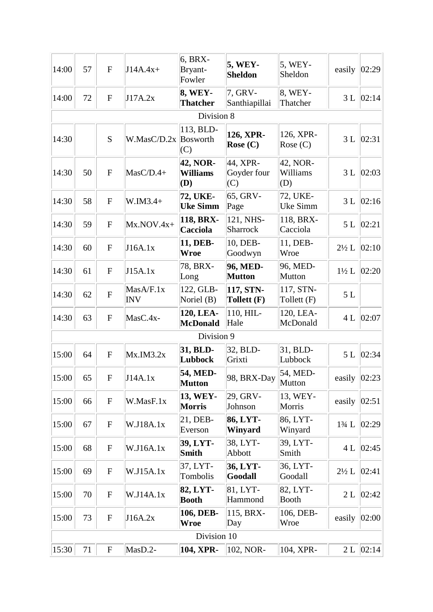| 14:00 | 57 | $\mathbf{F}$ | $J14A.4x+$              | 6, BRX-<br>Bryant-<br>Fowler       | <b>5, WEY-</b><br><b>Sheldon</b> | 5, WEY-<br>Sheldon          | easily           | 02:29       |
|-------|----|--------------|-------------------------|------------------------------------|----------------------------------|-----------------------------|------------------|-------------|
| 14:00 | 72 | ${\bf F}$    | J17A.2x                 | 8, WEY-<br><b>Thatcher</b>         | 7, GRV-<br>Santhiapillai         | 8, WEY-<br>Thatcher         | 3L               | 02:14       |
|       |    |              |                         | Division 8                         |                                  |                             |                  |             |
| 14:30 |    | S            | W.MasC/D.2x Bosworth    | 113, BLD-<br>(C)                   | 126, XPR-<br>Rose $(C)$          | 126, XPR-<br>Rose $(C)$     | 3L               | 02:31       |
| 14:30 | 50 | ${\bf F}$    | $MasC/D.4+$             | 42, NOR-<br><b>Williams</b><br>(D) | 44, XPR-<br>Goyder four<br>(C)   | 42, NOR-<br>Williams<br>(D) | 3L               | 02:03       |
| 14:30 | 58 | ${\bf F}$    | $W.IM3.4+$              | 72, UKE-<br><b>Uke Simm</b>        | 65, GRV-<br>Page                 | 72, UKE-<br>Uke Simm        | 3L               | 02:16       |
| 14:30 | 59 | $\mathbf{F}$ | $Mx.NOV.4x+$            | 118, BRX-<br>Cacciola              | 121, NHS-<br>Sharrock            | 118, BRX-<br>Cacciola       | 5L               | 02:21       |
| 14:30 | 60 | $\mathbf F$  | J16A.1x                 | 11, DEB-<br><b>Wroe</b>            | 10, DEB-<br>Goodwyn              | 11, DEB-<br>Wroe            | $2\frac{1}{2}$ L | 02:10       |
| 14:30 | 61 | ${\bf F}$    | J15A.1x                 | 78, BRX-<br>Long                   | 96, MED-<br><b>Mutton</b>        | 96, MED-<br>Mutton          | $1\frac{1}{2}L$  | 02:20       |
| 14:30 | 62 | $\mathbf{F}$ | MasA/F.1x<br><b>INV</b> | 122, GLB-<br>Noriel $(B)$          | 117, STN-<br>Tollett (F)         | 117, STN-<br>Tollett (F)    | $5 L$            |             |
| 14:30 | 63 | $\mathbf F$  | $MasC.4x-$              | 120, LEA-<br><b>McDonald</b>       | 110, HIL-<br>Hale                | 120, LEA-<br>McDonald       | 4L               | 02:07       |
|       |    |              |                         | Division 9                         |                                  |                             |                  |             |
| 15:00 | 64 | ${\bf F}$    | Mx.IM3.2x               | 31, BLD-<br>Lubbock                | 32, BLD-<br>Grixti               | 31, BLD-<br>Lubbock         | 5L               | 02:34       |
| 15:00 | 65 | F            | J14A.1x                 | 54, MED-<br><b>Mutton</b>          | 98, BRX-Day                      | 54, MED-<br>Mutton          | easily $ 02:23 $ |             |
| 15:00 | 66 | ${\bf F}$    | W.MasF.1x               | 13, WEY-<br><b>Morris</b>          | 29, GRV-<br>Johnson              | 13, WEY-<br>Morris          | easily           | 02:51       |
| 15:00 | 67 | ${\bf F}$    | W.J18A.1x               | 21, DEB-<br>Everson                | 86, LYT-<br>Winyard              | 86, LYT-<br>Winyard         | $1\frac{3}{4}$ L | 02:29       |
| 15:00 | 68 | ${\bf F}$    | W.J16A.1x               | 39, LYT-<br><b>Smith</b>           | 38, LYT-<br>Abbott               | 39, LYT-<br>Smith           | 4L               | 02:45       |
| 15:00 | 69 | ${\bf F}$    | W.J15A.1x               | 37, LYT-<br>Tombolis               | 36, LYT-<br>Goodall              | 36, LYT-<br>Goodall         | $2\frac{1}{2}$ L | 02:41       |
| 15:00 | 70 | ${\bf F}$    | W.J14A.1x               | 82, LYT-<br><b>Booth</b>           | 81, LYT-<br>Hammond              | 82, LYT-<br><b>Booth</b>    | 2L               | 02:42       |
| 15:00 | 73 | ${\bf F}$    | J16A.2x                 | 106, DEB-<br><b>Wroe</b>           | 115, BRX-<br>Day                 | 106, DEB-<br>Wroe           | easily           | 02:00       |
|       |    |              |                         | Division 10                        |                                  |                             |                  |             |
| 15:30 | 71 | ${\bf F}$    | MasD.2-                 | 104, XPR-                          | 102, NOR-                        | 104, XPR-                   |                  | 2 L   02:14 |